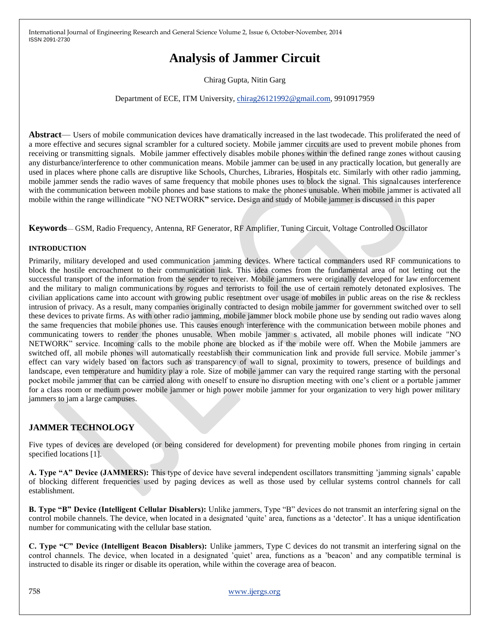# **Analysis of Jammer Circuit**

Chirag Gupta, Nitin Garg

#### Department of ECE, ITM University, [chirag26121992@gmail.com,](mailto:chirag26121992@gmail.com) 9910917959

**Abstract**— Users of mobile communication devices have dramatically increased in the last twodecade. This proliferated the need of a more effective and secures signal scrambler for a cultured society. Mobile jammer circuits are used to prevent mobile phones from receiving or transmitting signals. Mobile jammer effectively disables mobile phones within the defined range zones without causing any disturbance/interference to other communication means. Mobile jammer can be used in any practically location, but generally are used in places where phone calls are disruptive like Schools, Churches, Libraries, Hospitals etc. Similarly with other radio jamming, mobile jammer sends the radio waves of same frequency that mobile phones uses to block the signal. This signalcauses interference with the communication between mobile phones and base stations to make the phones unusable. When mobile jammer is activated all mobile within the range willindicate **"**NO NETWORK**"** service**.** Design and study of Mobile jammer is discussed in this paper

**Keywords**— GSM, Radio Frequency, Antenna, RF Generator, RF Amplifier, Tuning Circuit, Voltage Controlled Oscillator

#### **INTRODUCTION**

Primarily, military developed and used communication jamming devices. Where tactical commanders used RF communications to block the hostile encroachment to their communication link. This idea comes from the fundamental area of not letting out the successful transport of the information from the sender to receiver. Mobile jammers were originally developed for law enforcement and the military to malign communications by rogues and terrorists to foil the use of certain remotely detonated explosives. The civilian applications came into account with growing public resentment over usage of mobiles in public areas on the rise & reckless intrusion of privacy. As a result, many companies originally contracted to design mobile jammer for government switched over to sell these devices to private firms. As with other radio jamming, mobile jammer block mobile phone use by sending out radio waves along the same frequencies that mobile phones use. This causes enough interference with the communication between mobile phones and communicating towers to render the phones unusable. When mobile jammer s activated, all mobile phones will indicate "NO NETWORK" service. Incoming calls to the mobile phone are blocked as if the mobile were off. When the Mobile jammers are switched off, all mobile phones will automatically reestablish their communication link and provide full service. Mobile jammer's effect can vary widely based on factors such as transparency of wall to signal, proximity to towers, presence of buildings and landscape, even temperature and humidity play a role. Size of mobile jammer can vary the required range starting with the personal pocket mobile jammer that can be carried along with oneself to ensure no disruption meeting with one"s client or a portable jammer for a class room or medium power mobile jammer or high power mobile jammer for your organization to very high power military jammers to jam a large campuses.

## **JAMMER TECHNOLOGY**

Five types of devices are developed (or being considered for development) for preventing mobile phones from ringing in certain specified locations [1].

**A. Type "A" Device (JAMMERS):** This type of device have several independent oscillators transmitting "jamming signals" capable of blocking different frequencies used by paging devices as well as those used by cellular systems control channels for call establishment.

**B. Type "B" Device (Intelligent Cellular Disablers):** Unlike jammers, Type "B" devices do not transmit an interfering signal on the control mobile channels. The device, when located in a designated "quite" area, functions as a "detector". It has a unique identification number for communicating with the cellular base station.

**C. Type "C" Device (Intelligent Beacon Disablers):** Unlike jammers, Type C devices do not transmit an interfering signal on the control channels. The device, when located in a designated 'quiet' area, functions as a 'beacon' and any compatible terminal is instructed to disable its ringer or disable its operation, while within the coverage area of beacon.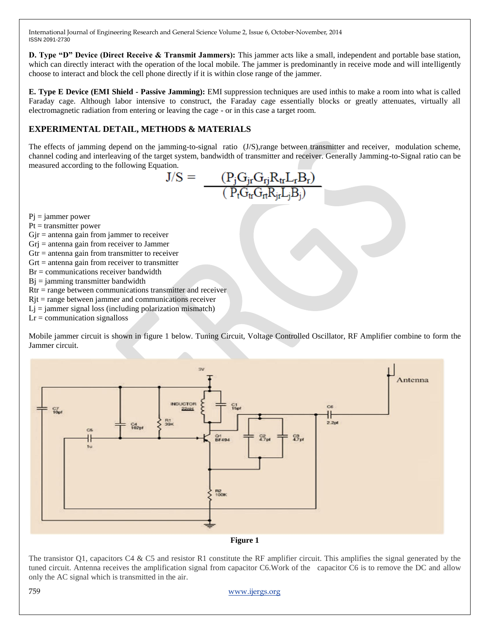**D. Type "D" Device (Direct Receive & Transmit Jammers):** This jammer acts like a small, independent and portable base station, which can directly interact with the operation of the local mobile. The jammer is predominantly in receive mode and will intelligently choose to interact and block the cell phone directly if it is within close range of the jammer.

**E. Type E Device (EMI Shield - Passive Jamming):** EMI suppression techniques are used inthis to make a room into what is called Faraday cage. Although labor intensive to construct, the Faraday cage essentially blocks or greatly attenuates, virtually all electromagnetic radiation from entering or leaving the cage - or in this case a target room.

## **EXPERIMENTAL DETAIL, METHODS & MATERIALS**

The effects of jamming depend on the jamming-to-signal ratio (J/S),range between transmitter and receiver, modulation scheme, channel coding and interleaving of the target system, bandwidth of transmitter and receiver. Generally Jamming-to-Signal ratio can be measured according to the following Equation.

$$
\mathrm{J/S}=\frac{(P_jG_{jr}G_{rj}R_{tr}L_rB_r)}{(P_tG_{tr}G_{rt}R_{jr}L_jB_j)}
$$

 $Pi =$ jammer power

 $Pt = transmitter power$ 

 $G$ j $\mathbf{r}$  = antenna gain from jammer to receiver

Grj = antenna gain from receiver to Jammer

 $G$ tr = antenna gain from transmitter to receiver

 $Grt =$  antenna gain from receiver to transmitter

 $Br =$  communications receiver bandwidth

 $Bi = jamming transmitter bandwidth$ 

Rtr = range between communications transmitter and receiver

 $Rjt = range between jammer and communications receiver$ 

 $Lj =$  jammer signal loss (including polarization mismatch)

 $Lr =$  communication signalloss

Mobile jammer circuit is shown in figure 1 below. Tuning Circuit, Voltage Controlled Oscillator, RF Amplifier combine to form the Jammer circuit.



**Figure 1**

The transistor Q1, capacitors C4 & C5 and resistor R1 constitute the RF amplifier circuit. This amplifies the signal generated by the tuned circuit. Antenna receives the amplification signal from capacitor C6.Work of the capacitor C6 is to remove the DC and allow only the AC signal which is transmitted in the air.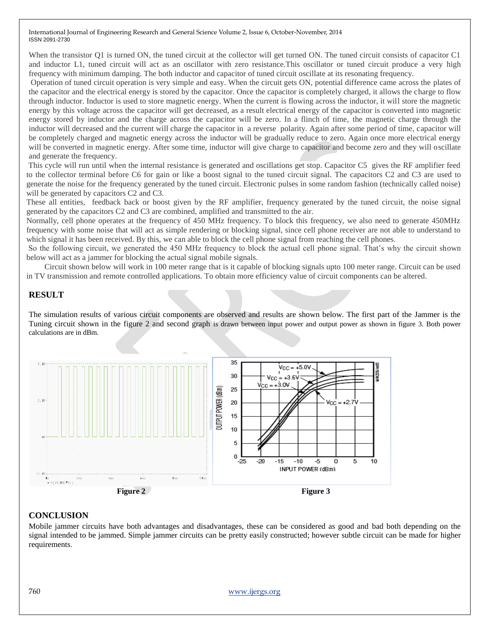When the transistor Q1 is turned ON, the tuned circuit at the collector will get turned ON. The tuned circuit consists of capacitor C1 and inductor L1, tuned circuit will act as an oscillator with zero resistance.This oscillator or tuned circuit produce a very high frequency with minimum damping. The both inductor and capacitor of tuned circuit oscillate at its resonating frequency.

Operation of tuned circuit operation is very simple and easy. When the circuit gets ON, potential difference came across the plates of the capacitor and the electrical energy is stored by the capacitor. Once the capacitor is completely charged, it allows the charge to flow through inductor. Inductor is used to store magnetic energy. When the current is flowing across the inductor, it will store the magnetic energy by this voltage across the capacitor will get decreased, as a result electrical energy of the capacitor is converted into magnetic energy stored by inductor and the charge across the capacitor will be zero. In a flinch of time, the magnetic charge through the inductor will decreased and the current will charge the capacitor in a reverse polarity. Again after some period of time, capacitor will be completely charged and magnetic energy across the inductor will be gradually reduce to zero. Again once more electrical energy will be converted in magnetic energy. After some time, inductor will give charge to capacitor and become zero and they will oscillate and generate the frequency.

This cycle will run until when the internal resistance is generated and oscillations get stop. Capacitor C5 gives the RF amplifier feed to the collector terminal before C6 for gain or like a boost signal to the tuned circuit signal. The capacitors C2 and C3 are used to generate the noise for the frequency generated by the tuned circuit. Electronic pulses in some random fashion (technically called noise) will be generated by capacitors C2 and C3.

These all entities, feedback back or boost given by the RF amplifier, frequency generated by the tuned circuit, the noise signal generated by the capacitors C2 and C3 are combined, amplified and transmitted to the air.

Normally, cell phone operates at the frequency of 450 MHz frequency. To block this frequency, we also need to generate 450MHz frequency with some noise that will act as simple rendering or blocking signal, since cell phone receiver are not able to understand to which signal it has been received. By this, we can able to block the cell phone signal from reaching the cell phones.

So the following circuit, we generated the 450 MHz frequency to block the actual cell phone signal. That"s why the circuit shown below will act as a jammer for blocking the actual signal mobile signals.

 Circuit shown below will work in 100 meter range that is it capable of blocking signals upto 100 meter range. Circuit can be used in TV transmission and remote controlled applications. To obtain more efficiency value of circuit components can be altered.

#### **RESULT**

The simulation results of various circuit components are observed and results are shown below. The first part of the Jammer is the Tuning circuit shown in the figure 2 and second graph is drawn between input power and output power as shown in figure 3. Both power calculations are in dBm.



## **CONCLUSION**

Mobile jammer circuits have both advantages and disadvantages, these can be considered as good and bad both depending on the signal intended to be jammed. Simple jammer circuits can be pretty easily constructed; however subtle circuit can be made for higher requirements.